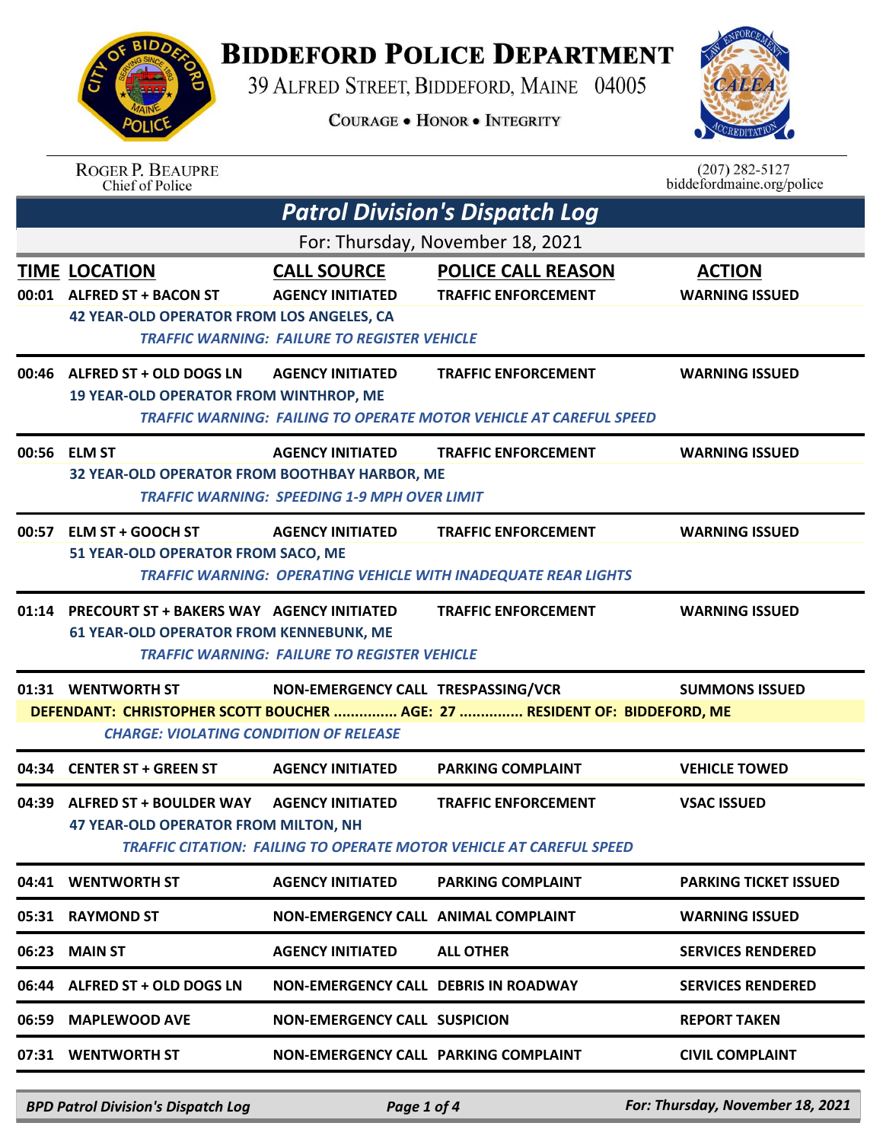**BIDDEFORD POLICE DEPARTMENT** 

39 ALFRED STREET, BIDDEFORD, MAINE 04005

**COURAGE . HONOR . INTEGRITY** 



|       | <b>ROGER P. BEAUPRE</b><br>Chief of Police                                                         |                                                                                                      |                                                                                                     | $(207)$ 282-5127<br>biddefordmaine.org/police |  |
|-------|----------------------------------------------------------------------------------------------------|------------------------------------------------------------------------------------------------------|-----------------------------------------------------------------------------------------------------|-----------------------------------------------|--|
|       | <b>Patrol Division's Dispatch Log</b>                                                              |                                                                                                      |                                                                                                     |                                               |  |
|       |                                                                                                    |                                                                                                      | For: Thursday, November 18, 2021                                                                    |                                               |  |
|       | <b>TIME LOCATION</b><br>00:01 ALFRED ST + BACON ST<br>42 YEAR-OLD OPERATOR FROM LOS ANGELES, CA    | <b>CALL SOURCE</b><br><b>AGENCY INITIATED</b><br><b>TRAFFIC WARNING: FAILURE TO REGISTER VEHICLE</b> | <b>POLICE CALL REASON</b><br><b>TRAFFIC ENFORCEMENT</b>                                             | <b>ACTION</b><br><b>WARNING ISSUED</b>        |  |
|       | 00:46 ALFRED ST + OLD DOGS LN<br><b>19 YEAR-OLD OPERATOR FROM WINTHROP, ME</b>                     | <b>AGENCY INITIATED</b>                                                                              | <b>TRAFFIC ENFORCEMENT</b><br>TRAFFIC WARNING: FAILING TO OPERATE MOTOR VEHICLE AT CAREFUL SPEED    | <b>WARNING ISSUED</b>                         |  |
|       | 00:56 ELM ST<br>32 YEAR-OLD OPERATOR FROM BOOTHBAY HARBOR, ME                                      | <b>AGENCY INITIATED</b><br><b>TRAFFIC WARNING: SPEEDING 1-9 MPH OVER LIMIT</b>                       | <b>TRAFFIC ENFORCEMENT</b>                                                                          | <b>WARNING ISSUED</b>                         |  |
| 00:57 | ELM ST + GOOCH ST<br>51 YEAR-OLD OPERATOR FROM SACO, ME                                            | <b>AGENCY INITIATED</b>                                                                              | <b>TRAFFIC ENFORCEMENT</b><br><b>TRAFFIC WARNING: OPERATING VEHICLE WITH INADEQUATE REAR LIGHTS</b> | <b>WARNING ISSUED</b>                         |  |
| 01:14 | <b>PRECOURT ST + BAKERS WAY AGENCY INITIATED</b><br><b>61 YEAR-OLD OPERATOR FROM KENNEBUNK, ME</b> | <b>TRAFFIC WARNING: FAILURE TO REGISTER VEHICLE</b>                                                  | <b>TRAFFIC ENFORCEMENT</b>                                                                          | <b>WARNING ISSUED</b>                         |  |
|       | 01:31 WENTWORTH ST<br><b>CHARGE: VIOLATING CONDITION OF RELEASE</b>                                | NON-EMERGENCY CALL TRESPASSING/VCR                                                                   | DEFENDANT: CHRISTOPHER SCOTT BOUCHER  AGE: 27  RESIDENT OF: BIDDEFORD, ME                           | <b>SUMMONS ISSUED</b>                         |  |
|       | 04:34 CENTER ST + GREEN ST                                                                         | <b>AGENCY INITIATED</b>                                                                              | <b>PARKING COMPLAINT</b>                                                                            | <b>VEHICLE TOWED</b>                          |  |
|       | 04:39 ALFRED ST + BOULDER WAY<br><b>47 YEAR-OLD OPERATOR FROM MILTON, NH</b>                       | <b>AGENCY INITIATED</b>                                                                              | <b>TRAFFIC ENFORCEMENT</b><br>TRAFFIC CITATION: FAILING TO OPERATE MOTOR VEHICLE AT CAREFUL SPEED   | <b>VSAC ISSUED</b>                            |  |
| 04:41 | <b>WENTWORTH ST</b>                                                                                | <b>AGENCY INITIATED</b>                                                                              | <b>PARKING COMPLAINT</b>                                                                            | <b>PARKING TICKET ISSUED</b>                  |  |
| 05:31 | <b>RAYMOND ST</b>                                                                                  | NON-EMERGENCY CALL ANIMAL COMPLAINT                                                                  |                                                                                                     | <b>WARNING ISSUED</b>                         |  |
| 06:23 | <b>MAIN ST</b>                                                                                     | <b>AGENCY INITIATED</b>                                                                              | <b>ALL OTHER</b>                                                                                    | <b>SERVICES RENDERED</b>                      |  |
|       | 06:44 ALFRED ST + OLD DOGS LN                                                                      | NON-EMERGENCY CALL DEBRIS IN ROADWAY                                                                 |                                                                                                     | <b>SERVICES RENDERED</b>                      |  |
| 06:59 | <b>MAPLEWOOD AVE</b>                                                                               | <b>NON-EMERGENCY CALL SUSPICION</b>                                                                  |                                                                                                     | <b>REPORT TAKEN</b>                           |  |
|       | 07:31 WENTWORTH ST                                                                                 | NON-EMERGENCY CALL PARKING COMPLAINT                                                                 |                                                                                                     | <b>CIVIL COMPLAINT</b>                        |  |

*BPD Patrol Division's Dispatch Log Page 1 of 4 For: Thursday, November 18, 2021*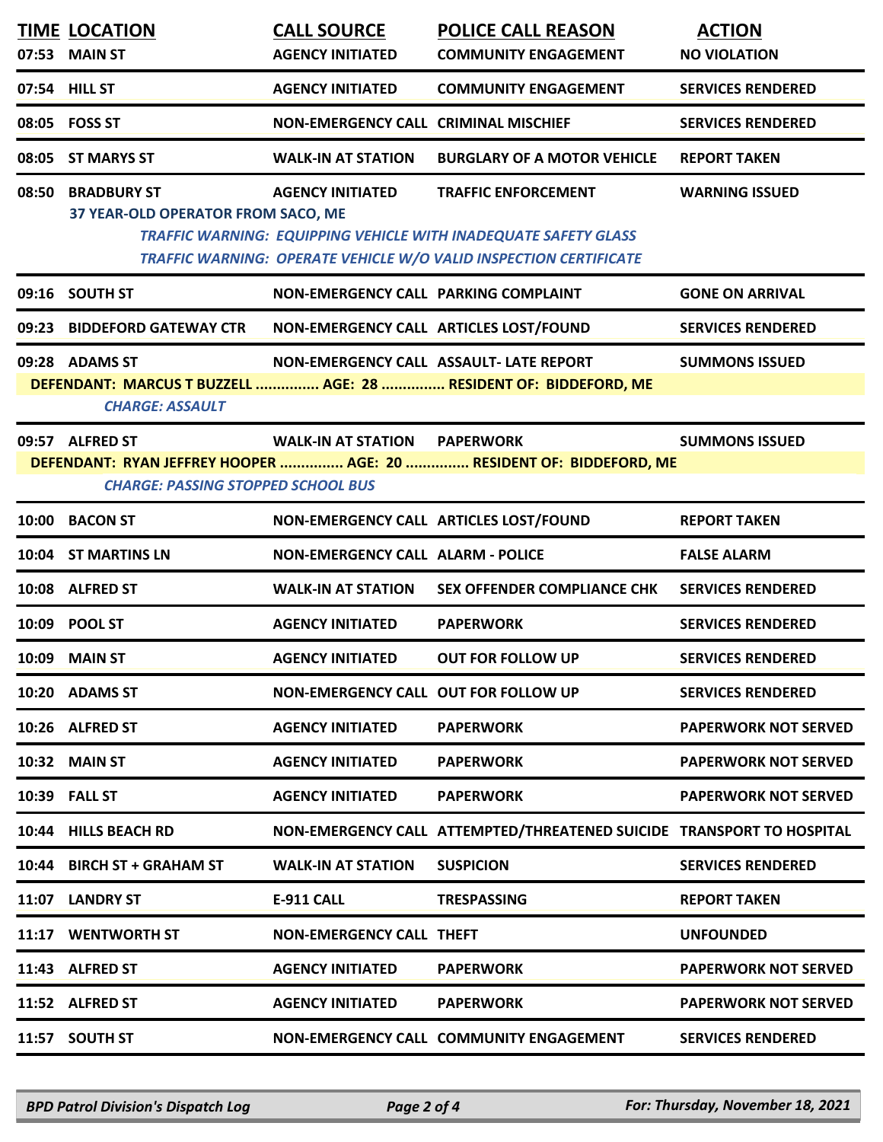|                                                                                                                                                                                                     | <b>TIME LOCATION</b>                                    | <b>CALL SOURCE</b>                       | <b>POLICE CALL REASON</b>                                                                                                                                          | <b>ACTION</b>               |  |
|-----------------------------------------------------------------------------------------------------------------------------------------------------------------------------------------------------|---------------------------------------------------------|------------------------------------------|--------------------------------------------------------------------------------------------------------------------------------------------------------------------|-----------------------------|--|
|                                                                                                                                                                                                     | 07:53 MAIN ST                                           | <b>AGENCY INITIATED</b>                  | <b>COMMUNITY ENGAGEMENT</b>                                                                                                                                        | <b>NO VIOLATION</b>         |  |
|                                                                                                                                                                                                     | 07:54 HILL ST                                           | <b>AGENCY INITIATED</b>                  | <b>COMMUNITY ENGAGEMENT</b>                                                                                                                                        | <b>SERVICES RENDERED</b>    |  |
|                                                                                                                                                                                                     | 08:05 FOSS ST                                           | NON-EMERGENCY CALL CRIMINAL MISCHIEF     |                                                                                                                                                                    | <b>SERVICES RENDERED</b>    |  |
|                                                                                                                                                                                                     | 08:05 ST MARYS ST                                       | WALK-IN AT STATION                       | <b>BURGLARY OF A MOTOR VEHICLE</b>                                                                                                                                 | <b>REPORT TAKEN</b>         |  |
|                                                                                                                                                                                                     | 08:50 BRADBURY ST<br>37 YEAR-OLD OPERATOR FROM SACO, ME | <b>AGENCY INITIATED</b>                  | <b>TRAFFIC ENFORCEMENT</b><br>TRAFFIC WARNING: EQUIPPING VEHICLE WITH INADEQUATE SAFETY GLASS<br>TRAFFIC WARNING: OPERATE VEHICLE W/O VALID INSPECTION CERTIFICATE | <b>WARNING ISSUED</b>       |  |
|                                                                                                                                                                                                     | 09:16 SOUTH ST                                          | NON-EMERGENCY CALL PARKING COMPLAINT     |                                                                                                                                                                    | <b>GONE ON ARRIVAL</b>      |  |
|                                                                                                                                                                                                     | 09:23 BIDDEFORD GATEWAY CTR                             | NON-EMERGENCY CALL ARTICLES LOST/FOUND   |                                                                                                                                                                    | <b>SERVICES RENDERED</b>    |  |
|                                                                                                                                                                                                     | 09:28 ADAMS ST<br><b>CHARGE: ASSAULT</b>                |                                          | NON-EMERGENCY CALL ASSAULT- LATE REPORT<br>DEFENDANT: MARCUS T BUZZELL  AGE: 28  RESIDENT OF: BIDDEFORD, ME                                                        | <b>SUMMONS ISSUED</b>       |  |
| 09:57 ALFRED ST<br><b>WALK-IN AT STATION PAPERWORK</b><br><b>SUMMONS ISSUED</b><br>DEFENDANT: RYAN JEFFREY HOOPER  AGE: 20  RESIDENT OF: BIDDEFORD, ME<br><b>CHARGE: PASSING STOPPED SCHOOL BUS</b> |                                                         |                                          |                                                                                                                                                                    |                             |  |
|                                                                                                                                                                                                     | 10:00 BACON ST                                          |                                          | NON-EMERGENCY CALL ARTICLES LOST/FOUND                                                                                                                             | <b>REPORT TAKEN</b>         |  |
|                                                                                                                                                                                                     | 10:04 ST MARTINS LN                                     | <b>NON-EMERGENCY CALL ALARM - POLICE</b> |                                                                                                                                                                    | <b>FALSE ALARM</b>          |  |
|                                                                                                                                                                                                     | 10:08 ALFRED ST                                         | <b>WALK-IN AT STATION</b>                | <b>SEX OFFENDER COMPLIANCE CHK</b>                                                                                                                                 | <b>SERVICES RENDERED</b>    |  |
|                                                                                                                                                                                                     | 10:09 POOL ST                                           | <b>AGENCY INITIATED</b>                  | <b>PAPERWORK</b>                                                                                                                                                   | <b>SERVICES RENDERED</b>    |  |
|                                                                                                                                                                                                     | 10:09 MAIN ST                                           | <b>AGENCY INITIATED</b>                  | <b>OUT FOR FOLLOW UP</b>                                                                                                                                           | <b>SERVICES RENDERED</b>    |  |
|                                                                                                                                                                                                     | 10:20 ADAMS ST                                          | NON-EMERGENCY CALL OUT FOR FOLLOW UP     |                                                                                                                                                                    | <b>SERVICES RENDERED</b>    |  |
|                                                                                                                                                                                                     | 10:26 ALFRED ST                                         | <b>AGENCY INITIATED</b>                  | <b>PAPERWORK</b>                                                                                                                                                   | <b>PAPERWORK NOT SERVED</b> |  |
|                                                                                                                                                                                                     | <b>10:32 MAIN ST</b>                                    | <b>AGENCY INITIATED</b>                  | <b>PAPERWORK</b>                                                                                                                                                   | <b>PAPERWORK NOT SERVED</b> |  |
|                                                                                                                                                                                                     | 10:39 FALL ST                                           | <b>AGENCY INITIATED</b>                  | <b>PAPERWORK</b>                                                                                                                                                   | <b>PAPERWORK NOT SERVED</b> |  |
|                                                                                                                                                                                                     | 10:44 HILLS BEACH RD                                    |                                          | NON-EMERGENCY CALL ATTEMPTED/THREATENED SUICIDE TRANSPORT TO HOSPITAL                                                                                              |                             |  |
|                                                                                                                                                                                                     | 10:44 BIRCH ST + GRAHAM ST                              | <b>WALK-IN AT STATION</b>                | <b>SUSPICION</b>                                                                                                                                                   | <b>SERVICES RENDERED</b>    |  |
| 11:07                                                                                                                                                                                               | <b>LANDRY ST</b>                                        | E-911 CALL                               | <b>TRESPASSING</b>                                                                                                                                                 | <b>REPORT TAKEN</b>         |  |
|                                                                                                                                                                                                     | 11:17 WENTWORTH ST                                      | NON-EMERGENCY CALL THEFT                 |                                                                                                                                                                    | <b>UNFOUNDED</b>            |  |
|                                                                                                                                                                                                     | 11:43 ALFRED ST                                         | <b>AGENCY INITIATED</b>                  | <b>PAPERWORK</b>                                                                                                                                                   | <b>PAPERWORK NOT SERVED</b> |  |
|                                                                                                                                                                                                     | 11:52 ALFRED ST                                         | <b>AGENCY INITIATED</b>                  | <b>PAPERWORK</b>                                                                                                                                                   | <b>PAPERWORK NOT SERVED</b> |  |
|                                                                                                                                                                                                     | 11:57 SOUTH ST                                          |                                          | NON-EMERGENCY CALL COMMUNITY ENGAGEMENT                                                                                                                            | <b>SERVICES RENDERED</b>    |  |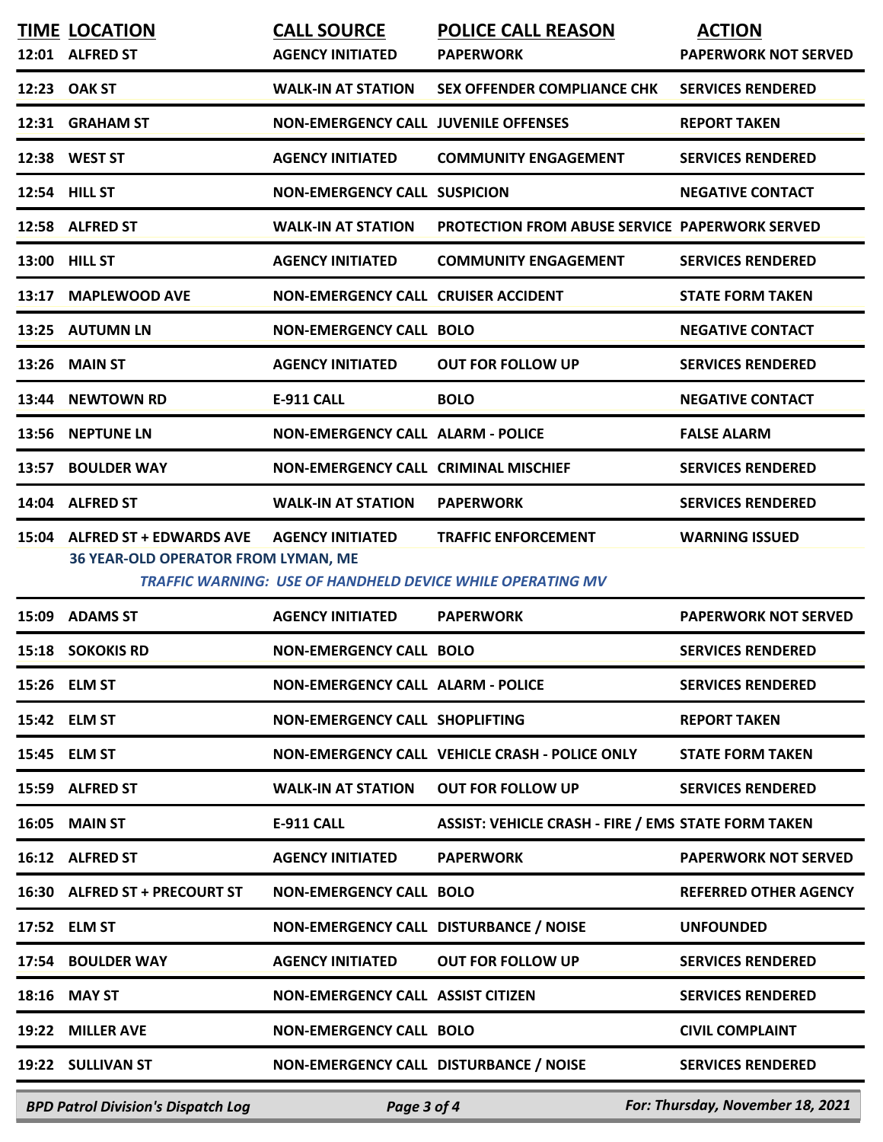|       | <b>BPD Patrol Division's Dispatch Log</b>                             | Page 3 of 4                                   |                                                                                                 | For: Thursday, November 18, 2021             |
|-------|-----------------------------------------------------------------------|-----------------------------------------------|-------------------------------------------------------------------------------------------------|----------------------------------------------|
|       | 19:22 SULLIVAN ST                                                     | NON-EMERGENCY CALL DISTURBANCE / NOISE        |                                                                                                 | <b>SERVICES RENDERED</b>                     |
| 19:22 | <b>MILLER AVE</b>                                                     | <b>NON-EMERGENCY CALL BOLO</b>                |                                                                                                 | <b>CIVIL COMPLAINT</b>                       |
| 18:16 | <b>MAY ST</b>                                                         | <b>NON-EMERGENCY CALL ASSIST CITIZEN</b>      |                                                                                                 | <b>SERVICES RENDERED</b>                     |
|       | 17:54 BOULDER WAY                                                     | <b>AGENCY INITIATED</b>                       | <b>OUT FOR FOLLOW UP</b>                                                                        | <b>SERVICES RENDERED</b>                     |
|       | 17:52 ELM ST                                                          | NON-EMERGENCY CALL DISTURBANCE / NOISE        |                                                                                                 | <b>UNFOUNDED</b>                             |
|       | 16:30 ALFRED ST + PRECOURT ST                                         | <b>NON-EMERGENCY CALL BOLO</b>                |                                                                                                 | <b>REFERRED OTHER AGENCY</b>                 |
|       | 16:12 ALFRED ST                                                       | <b>AGENCY INITIATED</b>                       | <b>PAPERWORK</b>                                                                                | <b>PAPERWORK NOT SERVED</b>                  |
| 16:05 | <b>MAIN ST</b>                                                        | E-911 CALL                                    | <b>ASSIST: VEHICLE CRASH - FIRE / EMS STATE FORM TAKEN</b>                                      |                                              |
|       | 15:59 ALFRED ST                                                       | <b>WALK-IN AT STATION</b>                     | <b>OUT FOR FOLLOW UP</b>                                                                        | <b>SERVICES RENDERED</b>                     |
|       | 15:45 ELM ST                                                          |                                               | NON-EMERGENCY CALL VEHICLE CRASH - POLICE ONLY                                                  | <b>STATE FORM TAKEN</b>                      |
|       | 15:42 ELM ST                                                          | NON-EMERGENCY CALL SHOPLIFTING                |                                                                                                 | <b>REPORT TAKEN</b>                          |
|       | 15:26 ELM ST                                                          | <b>NON-EMERGENCY CALL ALARM - POLICE</b>      |                                                                                                 | <b>SERVICES RENDERED</b>                     |
|       | 15:18 SOKOKIS RD                                                      | <b>NON-EMERGENCY CALL BOLO</b>                |                                                                                                 | <b>SERVICES RENDERED</b>                     |
| 15:09 | <b>ADAMS ST</b>                                                       | <b>AGENCY INITIATED</b>                       | <b>PAPERWORK</b>                                                                                | <b>PAPERWORK NOT SERVED</b>                  |
| 15:04 | <b>ALFRED ST + EDWARDS AVE</b><br>36 YEAR-OLD OPERATOR FROM LYMAN, ME | <b>AGENCY INITIATED</b>                       | <b>TRAFFIC ENFORCEMENT</b><br><b>TRAFFIC WARNING: USE OF HANDHELD DEVICE WHILE OPERATING MV</b> | <b>WARNING ISSUED</b>                        |
|       | 14:04 ALFRED ST                                                       | <b>WALK-IN AT STATION</b>                     | <b>PAPERWORK</b>                                                                                | <b>SERVICES RENDERED</b>                     |
| 13:57 | <b>BOULDER WAY</b>                                                    | NON-EMERGENCY CALL CRIMINAL MISCHIEF          |                                                                                                 | <b>SERVICES RENDERED</b>                     |
| 13:56 | <b>NEPTUNE LN</b>                                                     | <b>NON-EMERGENCY CALL ALARM - POLICE</b>      |                                                                                                 | <b>FALSE ALARM</b>                           |
| 13:44 | <b>NEWTOWN RD</b>                                                     | E-911 CALL                                    | <b>BOLO</b>                                                                                     | <b>NEGATIVE CONTACT</b>                      |
| 13:26 | <b>MAIN ST</b>                                                        | <b>AGENCY INITIATED</b>                       | <b>OUT FOR FOLLOW UP</b>                                                                        | <b>SERVICES RENDERED</b>                     |
| 13:25 | <b>AUTUMN LN</b>                                                      | <b>NON-EMERGENCY CALL BOLO</b>                |                                                                                                 | <b>NEGATIVE CONTACT</b>                      |
| 13:17 | <b>MAPLEWOOD AVE</b>                                                  | NON-EMERGENCY CALL CRUISER ACCIDENT           |                                                                                                 | <b>STATE FORM TAKEN</b>                      |
|       | 13:00 HILL ST                                                         | <b>AGENCY INITIATED</b>                       | <b>COMMUNITY ENGAGEMENT</b>                                                                     | <b>SERVICES RENDERED</b>                     |
|       | 12:58 ALFRED ST                                                       | <b>WALK-IN AT STATION</b>                     | PROTECTION FROM ABUSE SERVICE PAPERWORK SERVED                                                  |                                              |
|       | 12:54 HILL ST                                                         | <b>NON-EMERGENCY CALL SUSPICION</b>           |                                                                                                 | <b>NEGATIVE CONTACT</b>                      |
|       | 12:38 WEST ST                                                         | <b>AGENCY INITIATED</b>                       | <b>COMMUNITY ENGAGEMENT</b>                                                                     | <b>SERVICES RENDERED</b>                     |
|       | 12:31 GRAHAM ST                                                       | <b>NON-EMERGENCY CALL JUVENILE OFFENSES</b>   |                                                                                                 | <b>REPORT TAKEN</b>                          |
|       | 12:23 OAK ST                                                          | <b>WALK-IN AT STATION</b>                     | SEX OFFENDER COMPLIANCE CHK                                                                     | <b>SERVICES RENDERED</b>                     |
|       | <b>TIME LOCATION</b><br>12:01 ALFRED ST                               | <b>CALL SOURCE</b><br><b>AGENCY INITIATED</b> | <b>POLICE CALL REASON</b><br><b>PAPERWORK</b>                                                   | <b>ACTION</b><br><b>PAPERWORK NOT SERVED</b> |